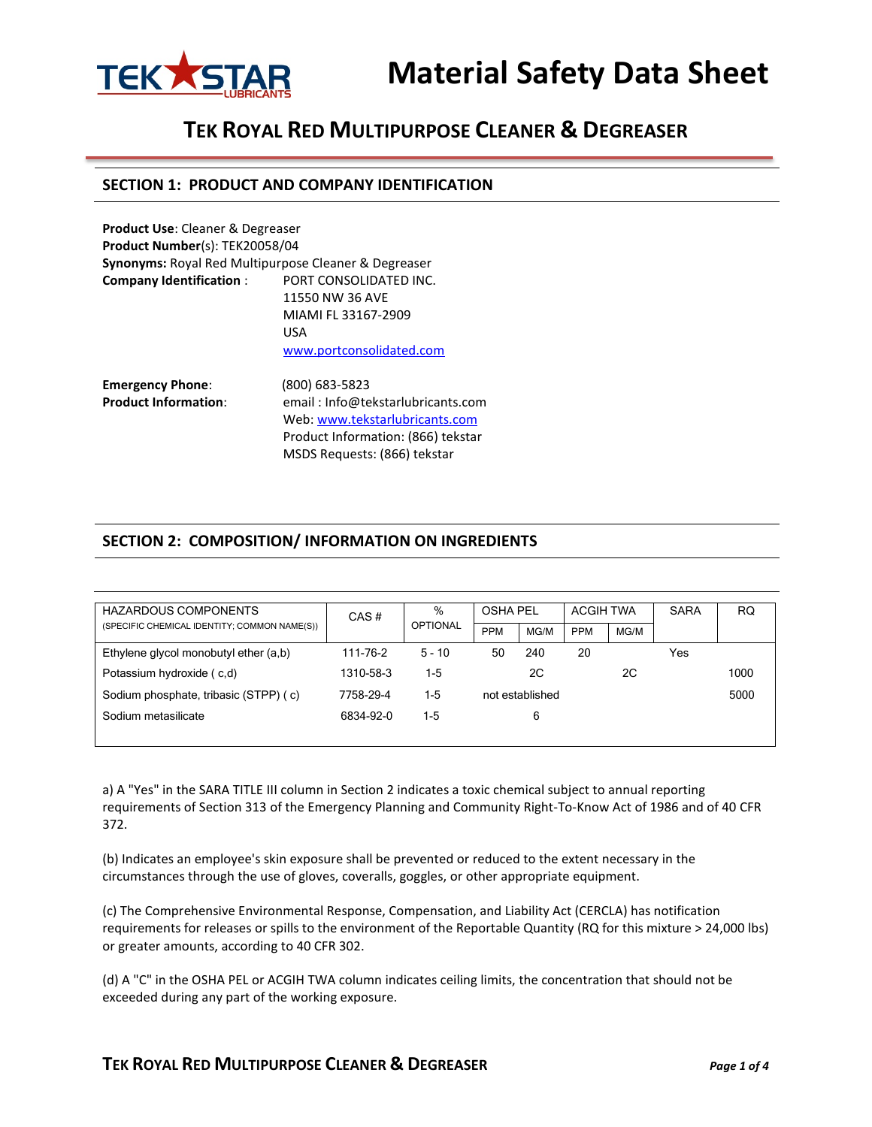

# **Material Safety Data Sheet**

## **TEK ROYAL RED MULTIPURPOSE CLEANER & DEGREASER**

#### **SECTION 1: PRODUCT AND COMPANY IDENTIFICATION**

| Product Use: Cleaner & Degreaser |                                                             |
|----------------------------------|-------------------------------------------------------------|
| Product Number(s): TEK20058/04   |                                                             |
|                                  | <b>Synonyms:</b> Royal Red Multipurpose Cleaner & Degreaser |
| <b>Company Identification:</b>   | PORT CONSOLIDATED INC.                                      |
|                                  | 11550 NW 36 AVE                                             |
|                                  | MIAMI FL 33167-2909                                         |
|                                  | USA                                                         |
|                                  | www.portconsolidated.com                                    |
| <b>Emergency Phone:</b>          | (800) 683-5823                                              |
| <b>Product Information:</b>      | email: Info@tekstarlubricants.com                           |
|                                  | Web: www.tekstarlubricants.com                              |
|                                  | Product Information: (866) tekstar                          |
|                                  | MSDS Requests: (866) tekstar                                |

#### **SECTION 2: COMPOSITION/ INFORMATION ON INGREDIENTS**

| <b>HAZARDOUS COMPONENTS</b>                  | CAS#      | $\%$            | <b>OSHA PEL</b> |                 | ACGIH TWA  |      | <b>SARA</b> | <b>RQ</b> |
|----------------------------------------------|-----------|-----------------|-----------------|-----------------|------------|------|-------------|-----------|
| (SPECIFIC CHEMICAL IDENTITY; COMMON NAME(S)) |           | <b>OPTIONAL</b> | <b>PPM</b>      | MG/M            | <b>PPM</b> | MG/M |             |           |
| Ethylene glycol monobutyl ether (a,b)        | 111-76-2  | $5 - 10$        | 50              | 240             | 20         |      | Yes         |           |
| Potassium hydroxide (c,d)                    | 1310-58-3 | 1-5             |                 | 2C              |            | 2C   |             | 1000      |
| Sodium phosphate, tribasic (STPP) (c)        | 7758-29-4 | 1-5             |                 | not established |            |      |             | 5000      |
| Sodium metasilicate                          | 6834-92-0 | 1-5             |                 | 6               |            |      |             |           |
|                                              |           |                 |                 |                 |            |      |             |           |

a) A "Yes" in the SARA TITLE III column in Section 2 indicates a toxic chemical subject to annual reporting requirements of Section 313 of the Emergency Planning and Community Right-To-Know Act of 1986 and of 40 CFR 372.

(b) Indicates an employee's skin exposure shall be prevented or reduced to the extent necessary in the circumstances through the use of gloves, coveralls, goggles, or other appropriate equipment.

(c) The Comprehensive Environmental Response, Compensation, and Liability Act (CERCLA) has notification requirements for releases or spills to the environment of the Reportable Quantity (RQ for this mixture > 24,000 lbs) or greater amounts, according to 40 CFR 302.

(d) A "C" in the OSHA PEL or ACGIH TWA column indicates ceiling limits, the concentration that should not be exceeded during any part of the working exposure.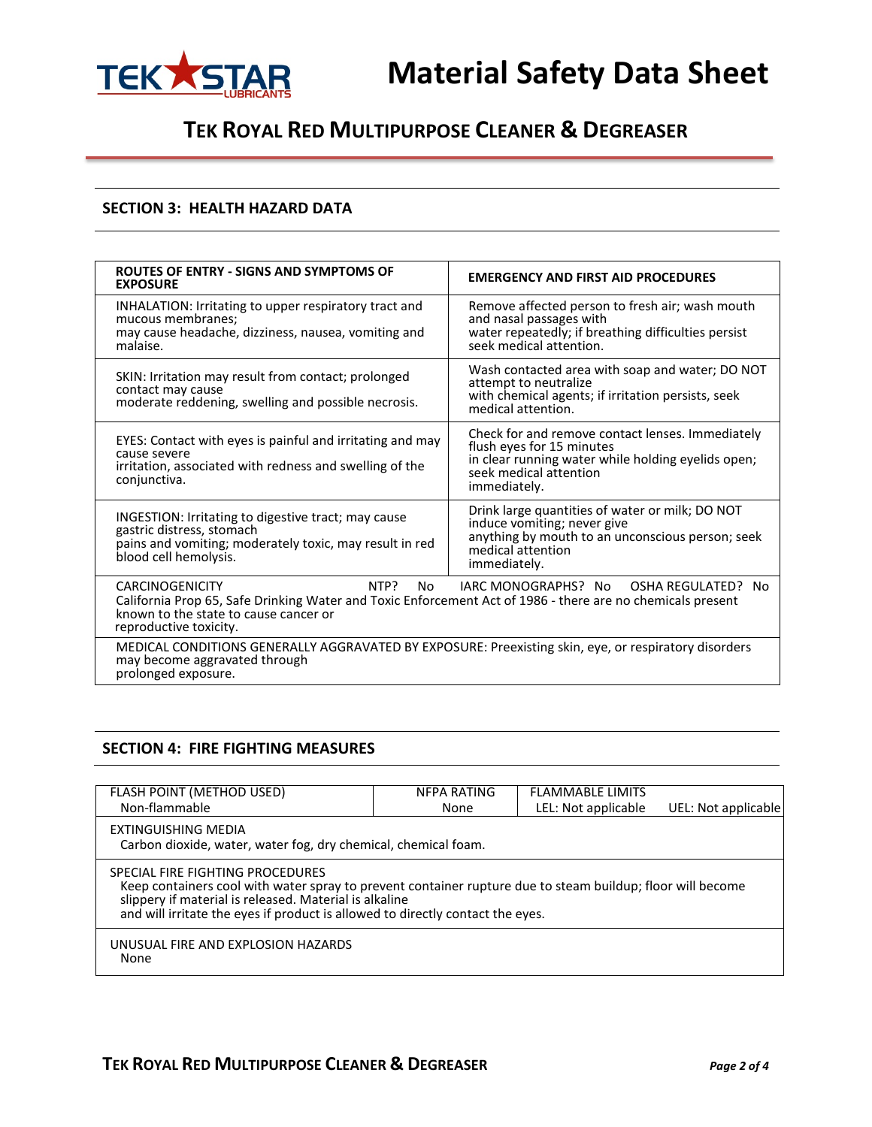



# **TEK ROYAL RED MULTIPURPOSE CLEANER & DEGREASER**

### **SECTION 3: HEALTH HAZARD DATA**

| <b>ROUTES OF ENTRY - SIGNS AND SYMPTOMS OF</b><br><b>EXPOSURE</b>                                                                                                                                                                                                   | <b>EMERGENCY AND FIRST AID PROCEDURES</b>                                                                                                                                     |  |  |  |
|---------------------------------------------------------------------------------------------------------------------------------------------------------------------------------------------------------------------------------------------------------------------|-------------------------------------------------------------------------------------------------------------------------------------------------------------------------------|--|--|--|
| INHALATION: Irritating to upper respiratory tract and<br>mucous membranes;<br>may cause headache, dizziness, nausea, vomiting and<br>malaise.                                                                                                                       | Remove affected person to fresh air; wash mouth<br>and nasal passages with<br>water repeatedly; if breathing difficulties persist<br>seek medical attention.                  |  |  |  |
| SKIN: Irritation may result from contact; prolonged<br>contact may cause<br>moderate reddening, swelling and possible necrosis.                                                                                                                                     | Wash contacted area with soap and water; DO NOT<br>attempt to neutralize<br>with chemical agents; if irritation persists, seek<br>medical attention.                          |  |  |  |
| EYES: Contact with eyes is painful and irritating and may<br>cause severe<br>irritation, associated with redness and swelling of the<br>conjunctiva.                                                                                                                | Check for and remove contact lenses. Immediately<br>flush eyes for 15 minutes<br>in clear running water while holding eyelids open;<br>seek medical attention<br>immediately. |  |  |  |
| INGESTION: Irritating to digestive tract; may cause<br>gastric distress, stomach<br>pains and vomiting; moderately toxic, may result in red<br>blood cell hemolysis.                                                                                                | Drink large quantities of water or milk; DO NOT<br>induce vomiting; never give<br>anything by mouth to an unconscious person; seek<br>medical attention<br>immediately.       |  |  |  |
| NTP?<br><b>CARCINOGENICITY</b><br>IARC MONOGRAPHS? No<br>No.<br>OSHA REGULATED? No<br>California Prop 65, Safe Drinking Water and Toxic Enforcement Act of 1986 - there are no chemicals present<br>known to the state to cause cancer or<br>reproductive toxicity. |                                                                                                                                                                               |  |  |  |
| MEDICAL CONDITIONS GENERALLY AGGRAVATED BY EXPOSURE: Preexisting skin, eye, or respiratory disorders<br>may become aggravated through<br>prolonged exposure.                                                                                                        |                                                                                                                                                                               |  |  |  |

#### **SECTION 4: FIRE FIGHTING MEASURES**

| FLASH POINT (METHOD USED)                                                                                                                                                                                                                                                                  | NFPA RATING | <b>FLAMMABLE LIMITS</b> |                     |  |  |
|--------------------------------------------------------------------------------------------------------------------------------------------------------------------------------------------------------------------------------------------------------------------------------------------|-------------|-------------------------|---------------------|--|--|
| Non-flammable                                                                                                                                                                                                                                                                              | None        | LEL: Not applicable     | UEL: Not applicable |  |  |
| EXTINGUISHING MEDIA<br>Carbon dioxide, water, water fog, dry chemical, chemical foam.                                                                                                                                                                                                      |             |                         |                     |  |  |
| SPECIAL FIRE FIGHTING PROCEDURES<br>Keep containers cool with water spray to prevent container rupture due to steam buildup; floor will become<br>slippery if material is released. Material is alkaline<br>and will irritate the eyes if product is allowed to directly contact the eyes. |             |                         |                     |  |  |
| UNUSUAL FIRE AND EXPLOSION HAZARDS<br>None                                                                                                                                                                                                                                                 |             |                         |                     |  |  |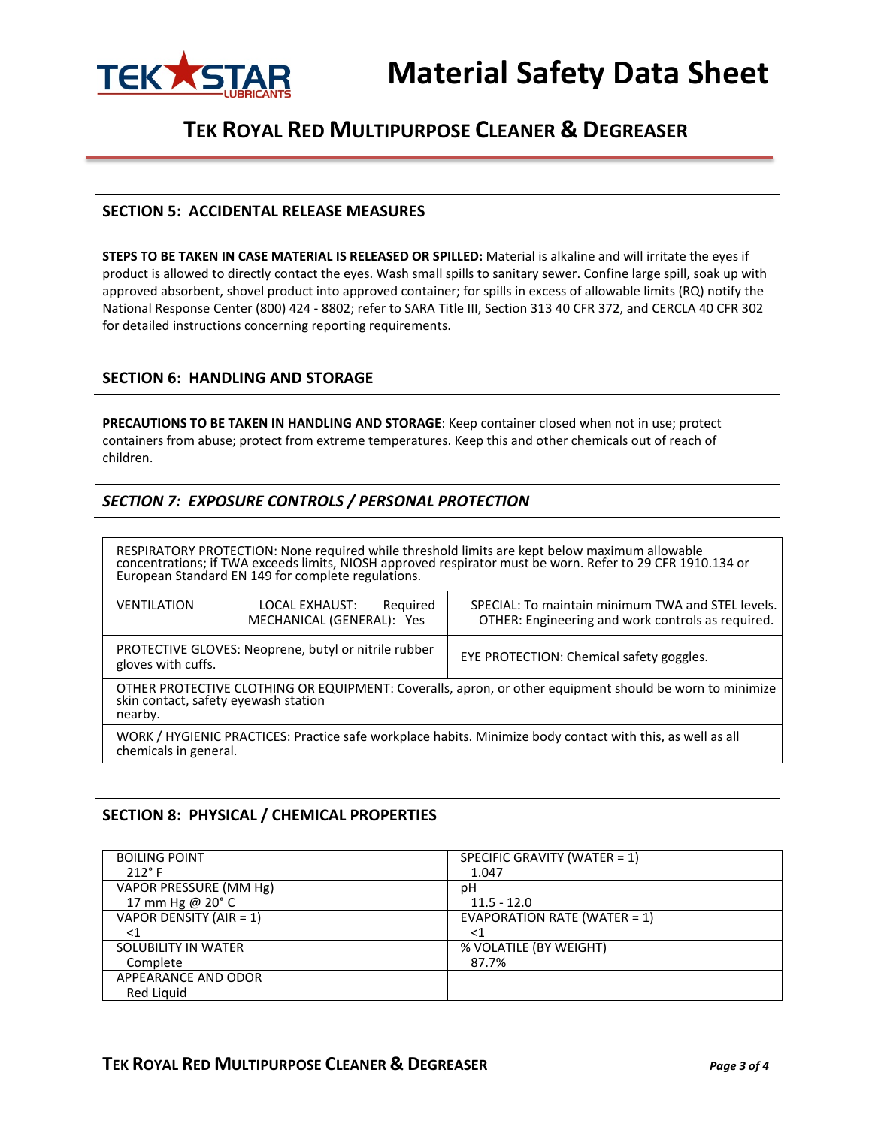

# **Material Safety Data Sheet**

## **TEK ROYAL RED MULTIPURPOSE CLEANER & DEGREASER**

#### **SECTION 5: ACCIDENTAL RELEASE MEASURES**

**STEPS TO BE TAKEN IN CASE MATERIAL IS RELEASED OR SPILLED:** Material is alkaline and will irritate the eyes if product is allowed to directly contact the eyes. Wash small spills to sanitary sewer. Confine large spill, soak up with approved absorbent, shovel product into approved container; for spills in excess of allowable limits (RQ) notify the National Response Center (800) 424 - 8802; refer to SARA Title III, Section 313 40 CFR 372, and CERCLA 40 CFR 302 for detailed instructions concerning reporting requirements.

#### **SECTION 6: HANDLING AND STORAGE**

**PRECAUTIONS TO BE TAKEN IN HANDLING AND STORAGE**: Keep container closed when not in use; protect containers from abuse; protect from extreme temperatures. Keep this and other chemicals out of reach of children.

### *SECTION 7: EXPOSURE CONTROLS / PERSONAL PROTECTION*

RESPIRATORY PROTECTION: None required while threshold limits are kept below maximum allowable concentrations; if TWA exceeds limits, NIOSH approved respirator must be worn. Refer to 29 CFR 1910.134 or European Standard EN 149 for complete regulations.

| <b>VENTILATION</b>                                                                                                                                         | Required<br>LOCAL EXHAUST:<br>MECHANICAL (GENERAL): Yes | SPECIAL: To maintain minimum TWA and STEL levels.<br>OTHER: Engineering and work controls as required. |  |  |  |
|------------------------------------------------------------------------------------------------------------------------------------------------------------|---------------------------------------------------------|--------------------------------------------------------------------------------------------------------|--|--|--|
| gloves with cuffs.                                                                                                                                         | PROTECTIVE GLOVES: Neoprene, butyl or nitrile rubber    | EYE PROTECTION: Chemical safety goggles.                                                               |  |  |  |
| OTHER PROTECTIVE CLOTHING OR EQUIPMENT: Coveralls, apron, or other equipment should be worn to minimize<br>skin contact, safety eyewash station<br>nearby. |                                                         |                                                                                                        |  |  |  |
| WORK / HYGIENIC PRACTICES: Practice safe workplace habits. Minimize body contact with this, as well as all<br>chemicals in general.                        |                                                         |                                                                                                        |  |  |  |

#### **SECTION 8: PHYSICAL / CHEMICAL PROPERTIES**

| <b>BOILING POINT</b>       | SPECIFIC GRAVITY (WATER = 1)    |
|----------------------------|---------------------------------|
| $212^\circ$ F              | 1.047                           |
| VAPOR PRESSURE (MM Hg)     | рH                              |
| 17 mm Hg @ 20° C           | $11.5 - 12.0$                   |
| VAPOR DENSITY (AIR = $1$ ) | EVAPORATION RATE (WATER = $1$ ) |
| <1                         | ا>                              |
| SOLUBILITY IN WATER        | % VOLATILE (BY WEIGHT)          |
| Complete                   | 87.7%                           |
| APPEARANCE AND ODOR        |                                 |
| Red Liquid                 |                                 |